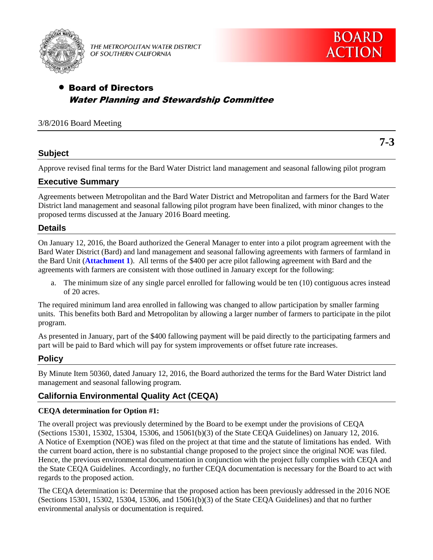

THE METROPOLITAN WATER DISTRICT OF SOUTHERN CALIFORNIA

**7-3**

# Board of Directors Water Planning and Stewardship Committee

## 3/8/2016 Board Meeting

## **Subject**

Approve revised final terms for the Bard Water District land management and seasonal fallowing pilot program

## **Executive Summary**

Agreements between Metropolitan and the Bard Water District and Metropolitan and farmers for the Bard Water District land management and seasonal fallowing pilot program have been finalized, with minor changes to the proposed terms discussed at the January 2016 Board meeting.

### **Details**

On January 12, 2016, the Board authorized the General Manager to enter into a pilot program agreement with the Bard Water District (Bard) and land management and seasonal fallowing agreements with farmers of farmland in the Bard Unit (**Attachment 1**). All terms of the \$400 per acre pilot fallowing agreement with Bard and the agreements with farmers are consistent with those outlined in January except for the following:

a. The minimum size of any single parcel enrolled for fallowing would be ten (10) contiguous acres instead of 20 acres.

The required minimum land area enrolled in fallowing was changed to allow participation by smaller farming units. This benefits both Bard and Metropolitan by allowing a larger number of farmers to participate in the pilot program.

As presented in January, part of the \$400 fallowing payment will be paid directly to the participating farmers and part will be paid to Bard which will pay for system improvements or offset future rate increases.

## **Policy**

By Minute Item 50360, dated January 12, 2016, the Board authorized the terms for the Bard Water District land management and seasonal fallowing program.

## **California Environmental Quality Act (CEQA)**

### **CEQA determination for Option #1:**

The overall project was previously determined by the Board to be exempt under the provisions of CEQA (Sections 15301, 15302, 15304, 15306, and 15061(b)(3) of the State CEQA Guidelines) on January 12, 2016. A Notice of Exemption (NOE) was filed on the project at that time and the statute of limitations has ended. With the current board action, there is no substantial change proposed to the project since the original NOE was filed. Hence, the previous environmental documentation in conjunction with the project fully complies with CEQA and the State CEQA Guidelines. Accordingly, no further CEQA documentation is necessary for the Board to act with regards to the proposed action.

The CEQA determination is: Determine that the proposed action has been previously addressed in the 2016 NOE (Sections 15301, 15302, 15304, 15306, and 15061(b)(3) of the State CEQA Guidelines) and that no further environmental analysis or documentation is required.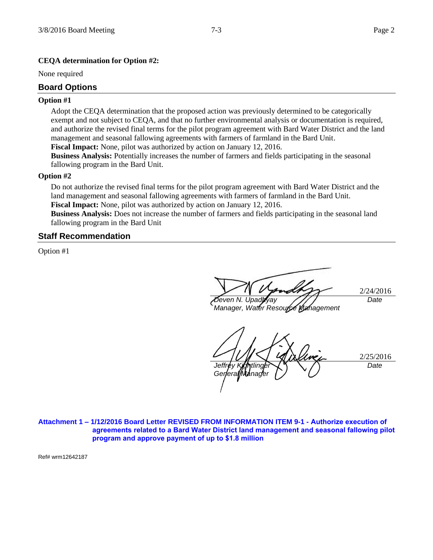#### **CEQA determination for Option #2:**

None required

#### **Board Options**

#### **Option #1**

Adopt the CEQA determination that the proposed action was previously determined to be categorically exempt and not subject to CEQA, and that no further environmental analysis or documentation is required, and authorize the revised final terms for the pilot program agreement with Bard Water District and the land management and seasonal fallowing agreements with farmers of farmland in the Bard Unit. **Fiscal Impact:** None, pilot was authorized by action on January 12, 2016.

**Business Analysis:** Potentially increases the number of farmers and fields participating in the seasonal fallowing program in the Bard Unit.

#### **Option #2**

Do not authorize the revised final terms for the pilot program agreement with Bard Water District and the land management and seasonal fallowing agreements with farmers of farmland in the Bard Unit. **Fiscal Impact:** None, pilot was authorized by action on January 12, 2016.

**Business Analysis:** Does not increase the number of farmers and fields participating in the seasonal land fallowing program in the Bard Unit

#### **Staff Recommendation**

Option #1

/24/2016 *Deven N. Upadhyay Manager, Water Resource Management Date*

2/25/2016 Jeffr *General Manage Date*

**Attachment 1 – 1/12/2016 Board Letter REVISED FROM INFORMATION ITEM 9-1 - Authorize execution of agreements related to a Bard Water District land management and seasonal fallowing pilot program and approve payment of up to \$1.8 million** 

Ref# wrm12642187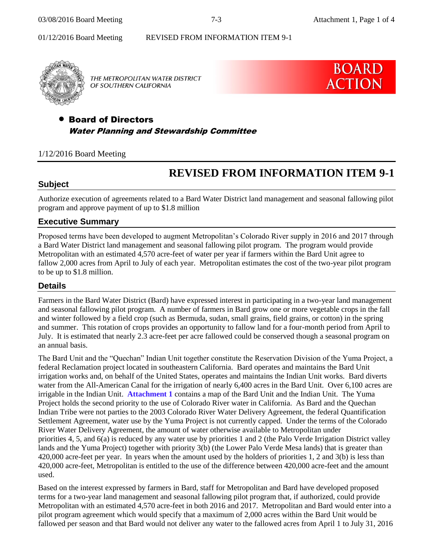**BOARD** 

**ACTION** 

01/12/2016 Board Meeting REVISED FROM INFORMATION ITEM 9-1



THE METROPOLITAN WATER DISTRICT OF SOUTHERN CALIFORNIA

# Board of Directors Water Planning and Stewardship Committee

### 1/12/2016 Board Meeting

# **REVISED FROM INFORMATION ITEM 9-1**

### **Subject**

Authorize execution of agreements related to a Bard Water District land management and seasonal fallowing pilot program and approve payment of up to \$1.8 million

### **Executive Summary**

Proposed terms have been developed to augment Metropolitan's Colorado River supply in 2016 and 2017 through a Bard Water District land management and seasonal fallowing pilot program. The program would provide Metropolitan with an estimated 4,570 acre-feet of water per year if farmers within the Bard Unit agree to fallow 2,000 acres from April to July of each year. Metropolitan estimates the cost of the two-year pilot program to be up to \$1.8 million.

### **Details**

Farmers in the Bard Water District (Bard) have expressed interest in participating in a two-year land management and seasonal fallowing pilot program. A number of farmers in Bard grow one or more vegetable crops in the fall and winter followed by a field crop (such as Bermuda, sudan, small grains, field grains, or cotton) in the spring and summer. This rotation of crops provides an opportunity to fallow land for a four-month period from April to July. It is estimated that nearly 2.3 acre-feet per acre fallowed could be conserved though a seasonal program on an annual basis.

The Bard Unit and the "Quechan" Indian Unit together constitute the Reservation Division of the Yuma Project, a federal Reclamation project located in southeastern California. Bard operates and maintains the Bard Unit irrigation works and, on behalf of the United States, operates and maintains the Indian Unit works. Bard diverts water from the All-American Canal for the irrigation of nearly 6,400 acres in the Bard Unit. Over 6,100 acres are irrigable in the Indian Unit. **Attachment 1** contains a map of the Bard Unit and the Indian Unit. The Yuma Project holds the second priority to the use of Colorado River water in California. As Bard and the Quechan Indian Tribe were not parties to the 2003 Colorado River Water Delivery Agreement, the federal Quantification Settlement Agreement, water use by the Yuma Project is not currently capped. Under the terms of the Colorado River Water Delivery Agreement, the amount of water otherwise available to Metropolitan under priorities 4, 5, and 6(a) is reduced by any water use by priorities 1 and 2 (the Palo Verde Irrigation District valley lands and the Yuma Project) together with priority 3(b) (the Lower Palo Verde Mesa lands) that is greater than 420,000 acre-feet per year. In years when the amount used by the holders of priorities 1, 2 and 3(b) is less than 420,000 acre-feet, Metropolitan is entitled to the use of the difference between 420,000 acre-feet and the amount used.

Based on the interest expressed by farmers in Bard, staff for Metropolitan and Bard have developed proposed terms for a two-year land management and seasonal fallowing pilot program that, if authorized, could provide Metropolitan with an estimated 4,570 acre-feet in both 2016 and 2017. Metropolitan and Bard would enter into a pilot program agreement which would specify that a maximum of 2,000 acres within the Bard Unit would be fallowed per season and that Bard would not deliver any water to the fallowed acres from April 1 to July 31, 2016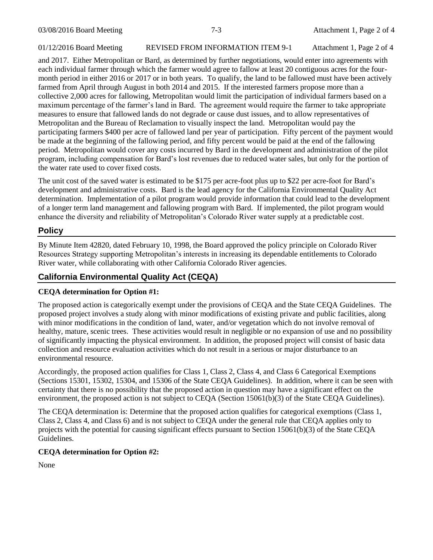#### 01/12/2016 Board Meeting REVISED FROM INFORMATION ITEM 9-1 Attachment 1, Page 2 of 4

and 2017. Either Metropolitan or Bard, as determined by further negotiations, would enter into agreements with each individual farmer through which the farmer would agree to fallow at least 20 contiguous acres for the fourmonth period in either 2016 or 2017 or in both years. To qualify, the land to be fallowed must have been actively farmed from April through August in both 2014 and 2015. If the interested farmers propose more than a collective 2,000 acres for fallowing, Metropolitan would limit the participation of individual farmers based on a maximum percentage of the farmer's land in Bard. The agreement would require the farmer to take appropriate measures to ensure that fallowed lands do not degrade or cause dust issues, and to allow representatives of Metropolitan and the Bureau of Reclamation to visually inspect the land. Metropolitan would pay the participating farmers \$400 per acre of fallowed land per year of participation. Fifty percent of the payment would be made at the beginning of the fallowing period, and fifty percent would be paid at the end of the fallowing period. Metropolitan would cover any costs incurred by Bard in the development and administration of the pilot program, including compensation for Bard's lost revenues due to reduced water sales, but only for the portion of the water rate used to cover fixed costs.

The unit cost of the saved water is estimated to be \$175 per acre-foot plus up to \$22 per acre-foot for Bard's development and administrative costs. Bard is the lead agency for the California Environmental Quality Act determination. Implementation of a pilot program would provide information that could lead to the development of a longer term land management and fallowing program with Bard. If implemented, the pilot program would enhance the diversity and reliability of Metropolitan's Colorado River water supply at a predictable cost.

## **Policy**

By Minute Item 42820, dated February 10, 1998, the Board approved the policy principle on Colorado River Resources Strategy supporting Metropolitan's interests in increasing its dependable entitlements to Colorado River water, while collaborating with other California Colorado River agencies.

# **California Environmental Quality Act (CEQA)**

### **CEQA determination for Option #1:**

The proposed action is categorically exempt under the provisions of CEQA and the State CEQA Guidelines. The proposed project involves a study along with minor modifications of existing private and public facilities, along with minor modifications in the condition of land, water, and/or vegetation which do not involve removal of healthy, mature, scenic trees. These activities would result in negligible or no expansion of use and no possibility of significantly impacting the physical environment. In addition, the proposed project will consist of basic data collection and resource evaluation activities which do not result in a serious or major disturbance to an environmental resource.

Accordingly, the proposed action qualifies for Class 1, Class 2, Class 4, and Class 6 Categorical Exemptions (Sections 15301, 15302, 15304, and 15306 of the State CEQA Guidelines). In addition, where it can be seen with certainty that there is no possibility that the proposed action in question may have a significant effect on the environment, the proposed action is not subject to CEQA (Section 15061(b)(3) of the State CEQA Guidelines).

The CEQA determination is: Determine that the proposed action qualifies for categorical exemptions (Class 1, Class 2, Class 4, and Class 6) and is not subject to CEQA under the general rule that CEQA applies only to projects with the potential for causing significant effects pursuant to Section 15061(b)(3) of the State CEQA Guidelines.

### **CEQA determination for Option #2:**

None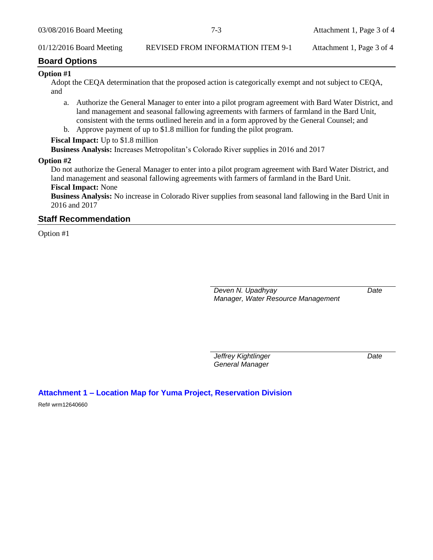### 01/12/2016 Board Meeting REVISED FROM INFORMATION ITEM 9-1 Attachment 1, Page 3 of 4

#### **Board Options**

#### **Option #1**

Adopt the CEQA determination that the proposed action is categorically exempt and not subject to CEQA, and

- a. Authorize the General Manager to enter into a pilot program agreement with Bard Water District, and land management and seasonal fallowing agreements with farmers of farmland in the Bard Unit, consistent with the terms outlined herein and in a form approved by the General Counsel; and
- b. Approve payment of up to \$1.8 million for funding the pilot program.

#### **Fiscal Impact:** Up to \$1.8 million

**Business Analysis:** Increases Metropolitan's Colorado River supplies in 2016 and 2017

#### **Option #2**

Do not authorize the General Manager to enter into a pilot program agreement with Bard Water District, and land management and seasonal fallowing agreements with farmers of farmland in the Bard Unit.

# **Fiscal Impact:** None

**Business Analysis:** No increase in Colorado River supplies from seasonal land fallowing in the Bard Unit in 2016 and 2017

### **Staff Recommendation**

Option #1

*Deven N. Upadhyay Manager, Water Resource Management* *Date*

*Jeffrey Kightlinger General Manager*

*Date*

### **Attachment 1 – Location Map for Yuma Project, Reservation Division**

Ref# wrm12640660